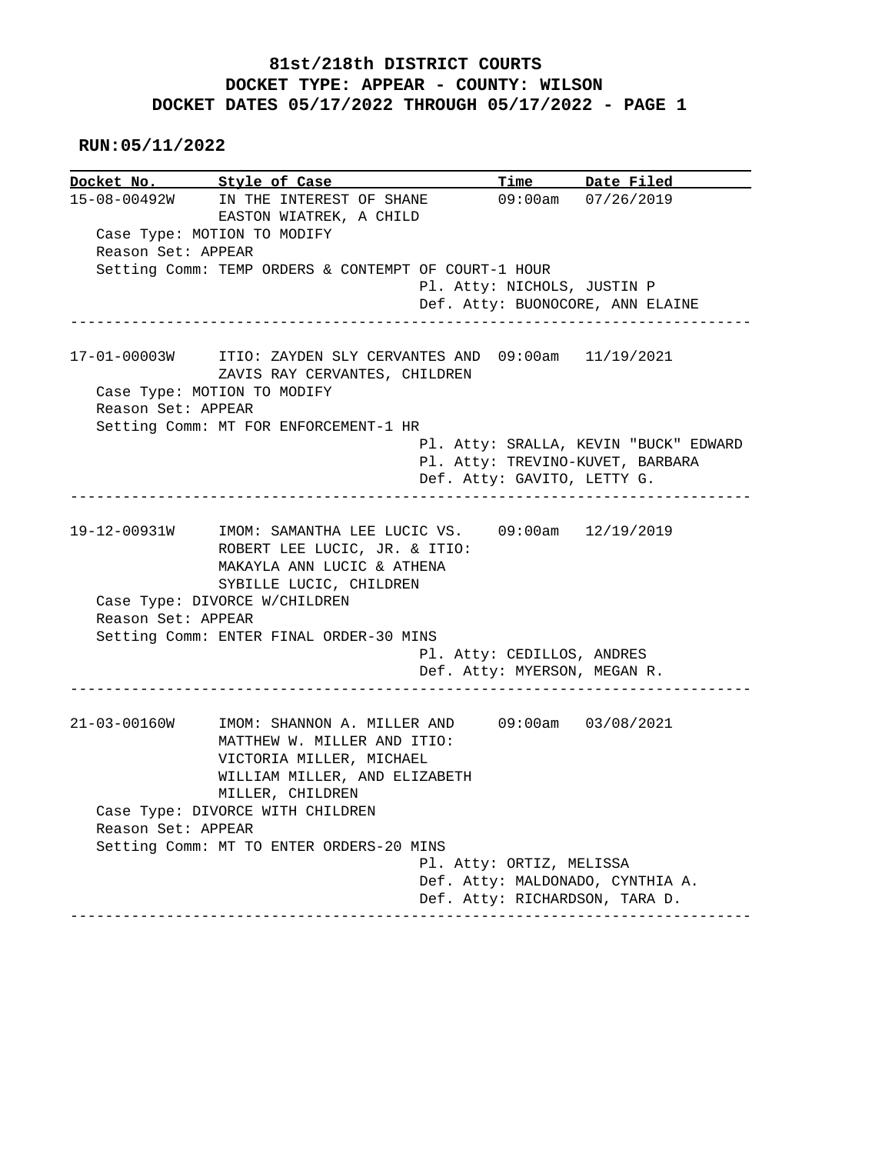## **81st/218th DISTRICT COURTS DOCKET TYPE: APPEAR - COUNTY: WILSON DOCKET DATES 05/17/2022 THROUGH 05/17/2022 - PAGE 1**

 **RUN:05/11/2022**

**Docket No. Style of Case Time Date Filed**<br>15-08-00492W IN THE INTEREST OF SHANE 09:00am 07/26/2019 15-08-00492W IN THE INTEREST OF SHANE 09:00am 07/26/2019 EASTON WIATREK, A CHILD Case Type: MOTION TO MODIFY Reason Set: APPEAR Setting Comm: TEMP ORDERS & CONTEMPT OF COURT-1 HOUR Pl. Atty: NICHOLS, JUSTIN P Def. Atty: BUONOCORE, ANN ELAINE ------------------------------------------------------------------------------ 17-01-00003W ITIO: ZAYDEN SLY CERVANTES AND 09:00am 11/19/2021 ZAVIS RAY CERVANTES, CHILDREN Case Type: MOTION TO MODIFY Reason Set: APPEAR Setting Comm: MT FOR ENFORCEMENT-1 HR Pl. Atty: SRALLA, KEVIN "BUCK" EDWARD Pl. Atty: TREVINO-KUVET, BARBARA Def. Atty: GAVITO, LETTY G. ------------------------------------------------------------------------------ 19-12-00931W IMOM: SAMANTHA LEE LUCIC VS. 09:00am 12/19/2019 ROBERT LEE LUCIC, JR. & ITIO: MAKAYLA ANN LUCIC & ATHENA SYBILLE LUCIC, CHILDREN Case Type: DIVORCE W/CHILDREN Reason Set: APPEAR Setting Comm: ENTER FINAL ORDER-30 MINS Pl. Atty: CEDILLOS, ANDRES Def. Atty: MYERSON, MEGAN R. ------------------------------------------------------------------------------ 21-03-00160W IMOM: SHANNON A. MILLER AND 09:00am 03/08/2021 MATTHEW W. MILLER AND ITIO: VICTORIA MILLER, MICHAEL WILLIAM MILLER, AND ELIZABETH MILLER, CHILDREN Case Type: DIVORCE WITH CHILDREN Reason Set: APPEAR Setting Comm: MT TO ENTER ORDERS-20 MINS Pl. Atty: ORTIZ, MELISSA Def. Atty: MALDONADO, CYNTHIA A. Def. Atty: RICHARDSON, TARA D. ------------------------------------------------------------------------------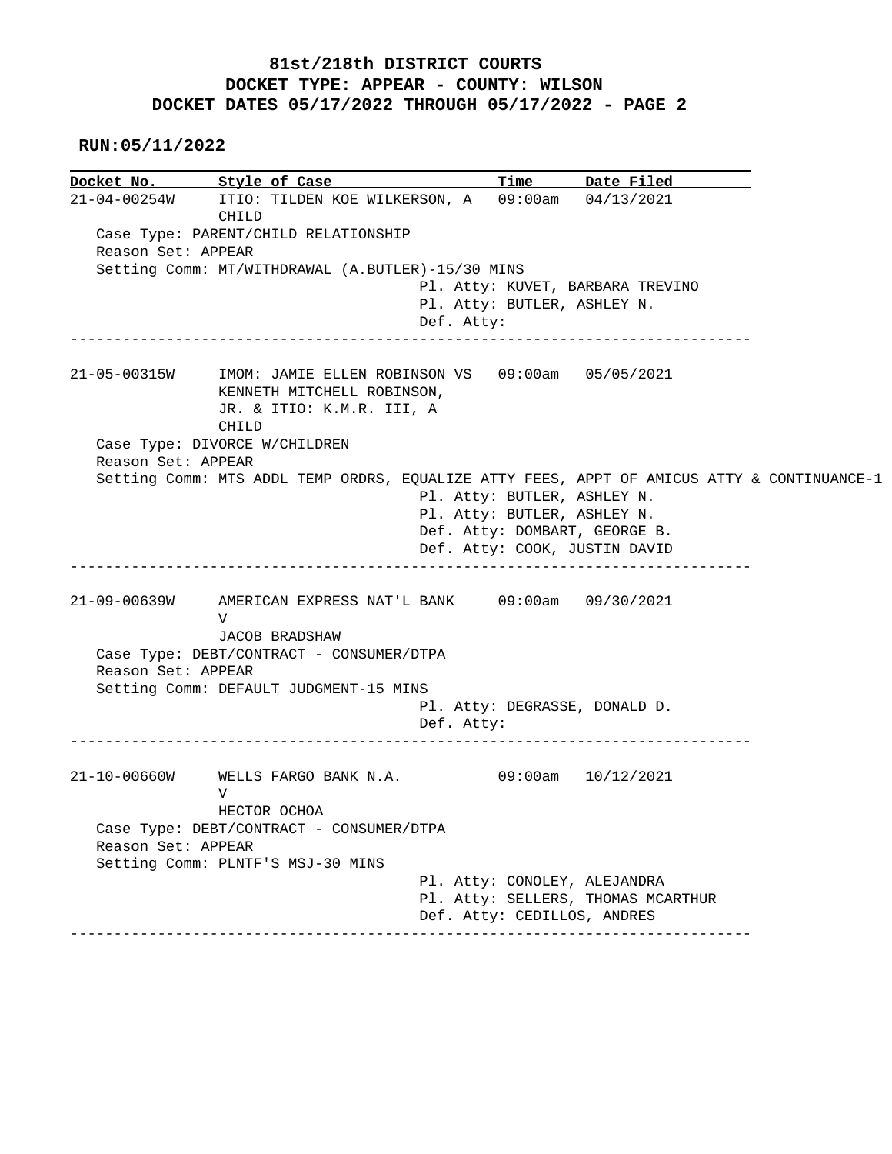## **81st/218th DISTRICT COURTS DOCKET TYPE: APPEAR - COUNTY: WILSON DOCKET DATES 05/17/2022 THROUGH 05/17/2022 - PAGE 2**

 **RUN:05/11/2022**

|                    | Docket No. 5tyle of Case                                                                                                          |                                             | Time Date Filed                    |  |
|--------------------|-----------------------------------------------------------------------------------------------------------------------------------|---------------------------------------------|------------------------------------|--|
|                    | 21-04-00254W ITIO: TILDEN KOE WILKERSON, A 09:00am 04/13/2021<br>CHILD                                                            |                                             |                                    |  |
| Reason Set: APPEAR | Case Type: PARENT/CHILD RELATIONSHIP                                                                                              |                                             |                                    |  |
|                    | Setting Comm: MT/WITHDRAWAL (A.BUTLER)-15/30 MINS                                                                                 |                                             |                                    |  |
|                    |                                                                                                                                   |                                             | Pl. Atty: KUVET, BARBARA TREVINO   |  |
|                    |                                                                                                                                   | Pl. Atty: BUTLER, ASHLEY N.<br>Def. Atty:   |                                    |  |
|                    | 21-05-00315W IMOM: JAMIE ELLEN ROBINSON VS 09:00am 05/05/2021<br>KENNETH MITCHELL ROBINSON,<br>JR. & ITIO: K.M.R. III, A<br>CHILD |                                             |                                    |  |
|                    | Case Type: DIVORCE W/CHILDREN                                                                                                     |                                             |                                    |  |
| Reason Set: APPEAR |                                                                                                                                   |                                             |                                    |  |
|                    | Setting Comm: MTS ADDL TEMP ORDRS, EQUALIZE ATTY FEES, APPT OF AMICUS ATTY & CONTINUANCE-1                                        |                                             |                                    |  |
|                    |                                                                                                                                   | Pl. Atty: BUTLER, ASHLEY N.                 |                                    |  |
|                    |                                                                                                                                   | Pl. Atty: BUTLER, ASHLEY N.                 |                                    |  |
|                    |                                                                                                                                   | Def. Atty: DOMBART, GEORGE B.               |                                    |  |
|                    |                                                                                                                                   |                                             |                                    |  |
|                    |                                                                                                                                   |                                             | Def. Atty: COOK, JUSTIN DAVID      |  |
|                    |                                                                                                                                   |                                             |                                    |  |
|                    | AMERICAN EXPRESS NAT'L BANK 09:00am 09/30/2021<br>V                                                                               |                                             |                                    |  |
|                    |                                                                                                                                   |                                             |                                    |  |
|                    | JACOB BRADSHAW                                                                                                                    |                                             |                                    |  |
| Reason Set: APPEAR | Case Type: DEBT/CONTRACT - CONSUMER/DTPA                                                                                          |                                             |                                    |  |
| 21-09-00639W       | Setting Comm: DEFAULT JUDGMENT-15 MINS                                                                                            |                                             |                                    |  |
|                    |                                                                                                                                   | Pl. Atty: DEGRASSE, DONALD D.<br>Def. Atty: |                                    |  |
|                    | 21-10-00660W WELLS FARGO BANK N.A. 09:00am 10/12/2021<br>V                                                                        |                                             |                                    |  |
|                    | HECTOR OCHOA<br>Case Type: DEBT/CONTRACT - CONSUMER/DTPA                                                                          |                                             |                                    |  |
| Reason Set: APPEAR |                                                                                                                                   |                                             |                                    |  |
|                    | Setting Comm: PLNTF'S MSJ-30 MINS                                                                                                 | Pl. Atty: CONOLEY, ALEJANDRA                |                                    |  |
|                    |                                                                                                                                   |                                             | Pl. Atty: SELLERS, THOMAS MCARTHUR |  |